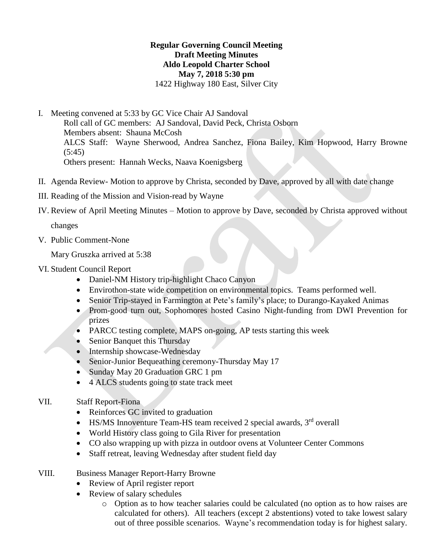## **Regular Governing Council Meeting Draft Meeting Minutes Aldo Leopold Charter School May 7, 2018 5:30 pm** 1422 Highway 180 East, Silver City

- I. Meeting convened at 5:33 by GC Vice Chair AJ Sandoval Roll call of GC members: AJ Sandoval, David Peck, Christa Osborn Members absent: Shauna McCosh ALCS Staff: Wayne Sherwood, Andrea Sanchez, Fiona Bailey, Kim Hopwood, Harry Browne  $(5:45)$ Others present: Hannah Wecks, Naava Koenigsberg
- II. Agenda Review- Motion to approve by Christa, seconded by Dave, approved by all with date change
- III. Reading of the Mission and Vision-read by Wayne
- IV. Review of April Meeting Minutes Motion to approve by Dave, seconded by Christa approved without

changes

V. Public Comment-None

Mary Gruszka arrived at 5:38

- VI. Student Council Report
	- Daniel-NM History trip-highlight Chaco Canyon
	- Envirothon-state wide competition on environmental topics. Teams performed well.
	- Senior Trip-stayed in Farmington at Pete's family's place; to Durango-Kayaked Animas
	- Prom-good turn out, Sophomores hosted Casino Night-funding from DWI Prevention for prizes
	- PARCC testing complete, MAPS on-going, AP tests starting this week
	- Senior Banquet this Thursday
	- Internship showcase-Wednesday
	- Senior-Junior Bequeathing ceremony-Thursday May 17
	- Sunday May 20 Graduation GRC 1 pm
	- 4 ALCS students going to state track meet

## VII. Staff Report-Fiona

- Reinforces GC invited to graduation
- HS/MS Innoventure Team-HS team received 2 special awards, 3<sup>rd</sup> overall
- World History class going to Gila River for presentation
- CO also wrapping up with pizza in outdoor ovens at Volunteer Center Commons
- Staff retreat, leaving Wednesday after student field day

## VIII. Business Manager Report-Harry Browne

- Review of April register report
- Review of salary schedules
	- o Option as to how teacher salaries could be calculated (no option as to how raises are calculated for others). All teachers (except 2 abstentions) voted to take lowest salary out of three possible scenarios. Wayne's recommendation today is for highest salary.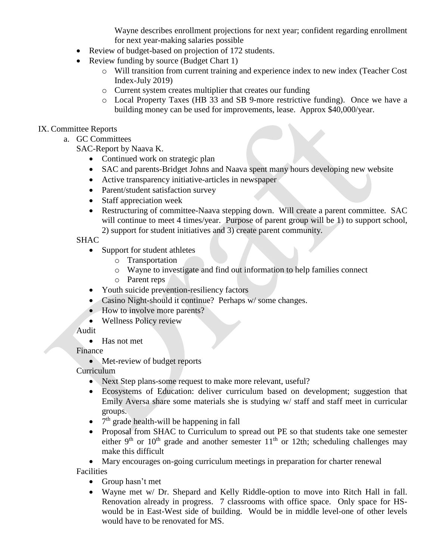Wayne describes enrollment projections for next year; confident regarding enrollment for next year-making salaries possible

- Review of budget-based on projection of 172 students.
- Review funding by source (Budget Chart 1)
	- o Will transition from current training and experience index to new index (Teacher Cost Index-July 2019)
	- o Current system creates multiplier that creates our funding
	- o Local Property Taxes (HB 33 and SB 9-more restrictive funding). Once we have a building money can be used for improvements, lease. Approx \$40,000/year.

#### IX. Committee Reports

- a. GC Committees
	- SAC-Report by Naava K.
		- Continued work on strategic plan
		- SAC and parents-Bridget Johns and Naava spent many hours developing new website
		- Active transparency initiative-articles in newspaper
		- Parent/student satisfaction survey
		- Staff appreciation week
		- Restructuring of committee-Naava stepping down. Will create a parent committee. SAC will continue to meet 4 times/year. Purpose of parent group will be 1) to support school, 2) support for student initiatives and 3) create parent community.

## SHAC

- Support for student athletes
	- o Transportation
	- o Wayne to investigate and find out information to help families connect
	- o Parent reps
- Youth suicide prevention-resiliency factors
- Casino Night-should it continue? Perhaps w/some changes.
- How to involve more parents?
- Wellness Policy review

#### Audit

• Has not met

#### Finance

• Met-review of budget reports

Curriculum

- Next Step plans-some request to make more relevant, useful?
- Ecosystems of Education: deliver curriculum based on development; suggestion that Emily Aversa share some materials she is studying w/ staff and staff meet in curricular groups.
- $\bullet$  7<sup>th</sup> grade health-will be happening in fall
- Proposal from SHAC to Curriculum to spread out PE so that students take one semester either 9<sup>th</sup> or 10<sup>th</sup> grade and another semester  $11<sup>th</sup>$  or 12th; scheduling challenges may make this difficult
- Mary encourages on-going curriculum meetings in preparation for charter renewal

**Facilities** 

- Group hasn't met
- Wayne met w/ Dr. Shepard and Kelly Riddle-option to move into Ritch Hall in fall. Renovation already in progress. 7 classrooms with office space. Only space for HSwould be in East-West side of building. Would be in middle level-one of other levels would have to be renovated for MS.